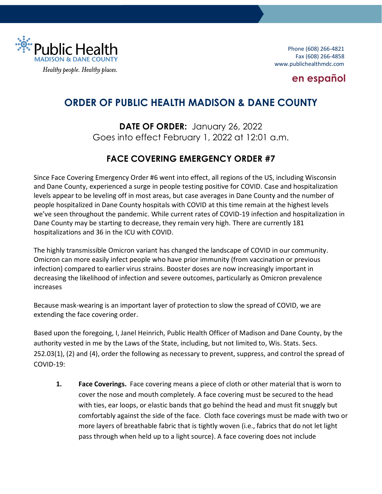

Phone (608) 266-4821 Fax (608) 266-4858 www.publichealthmdc.com

### **[en español](https://publichealthmdc.com/documents/2022-01-26_Order_23.pdf#page=4)**

# **ORDER OF PUBLIC HEALTH MADISON & DANE COUNTY**

**DATE OF ORDER:** January 26, 2022 Goes into effect February 1, 2022 at 12:01 a.m.

## **FACE COVERING EMERGENCY ORDER #7**

Since Face Covering Emergency Order #6 went into effect, all regions of the US, including Wisconsin and Dane County, experienced a surge in people testing positive for COVID. Case and hospitalization levels appear to be leveling off in most areas, but case averages in Dane County and the number of people hospitalized in Dane County hospitals with COVID at this time remain at the highest levels we've seen throughout the pandemic. While current rates of COVID-19 infection and hospitalization in Dane County may be starting to decrease, they remain very high. There are currently 181 hospitalizations and 36 in the ICU with COVID.

The highly transmissible Omicron variant has changed the landscape of COVID in our community. Omicron can more easily infect people who have prior immunity (from vaccination or previous infection) compared to earlier virus strains. Booster doses are now increasingly important in decreasing the likelihood of infection and severe outcomes, particularly as Omicron prevalence increases

Because mask-wearing is an important layer of protection to slow the spread of COVID, we are extending the face covering order.

Based upon the foregoing, I, Janel Heinrich, Public Health Officer of Madison and Dane County, by the authority vested in me by the Laws of the State, including, but not limited to, Wis. Stats. Secs. 252.03(1), (2) and (4), order the following as necessary to prevent, suppress, and control the spread of COVID-19:

**1. Face Coverings.** Face covering means a piece of cloth or other material that is worn to cover the nose and mouth completely. A face covering must be secured to the head with ties, ear loops, or elastic bands that go behind the head and must fit snuggly but comfortably against the side of the face. Cloth face coverings must be made with two or more layers of breathable fabric that is tightly woven (i.e., fabrics that do not let light pass through when held up to a light source). A face covering does not include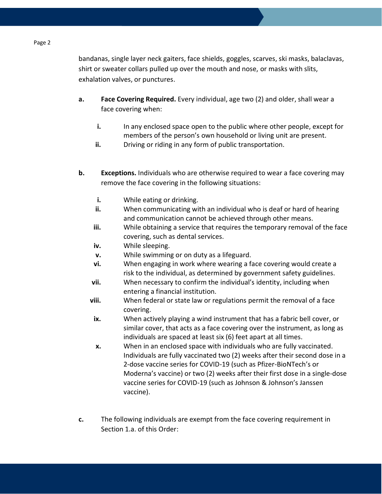bandanas, single layer neck gaiters, face shields, goggles, scarves, ski masks, balaclavas, shirt or sweater collars pulled up over the mouth and nose, or masks with slits, exhalation valves, or punctures.

- **a. Face Covering Required.** Every individual, age two (2) and older, shall wear a face covering when:
	- **i.** In any enclosed space open to the public where other people, except for members of the person's own household or living unit are present.
	- **ii.** Driving or riding in any form of public transportation.
- **b. Exceptions.** Individuals who are otherwise required to wear a face covering may remove the face covering in the following situations:
	- **i.** While eating or drinking.
	- **ii.** When communicating with an individual who is deaf or hard of hearing and communication cannot be achieved through other means.
	- **iii.** While obtaining a service that requires the temporary removal of the face covering, such as dental services.
	- **iv.** While sleeping.
	- **v.** While swimming or on duty as a lifeguard.
	- **vi.** When engaging in work where wearing a face covering would create a risk to the individual, as determined by government safety guidelines.
	- **vii.** When necessary to confirm the individual's identity, including when entering a financial institution.
	- **viii.** When federal or state law or regulations permit the removal of a face covering.
	- **ix.** When actively playing a wind instrument that has a fabric bell cover, or similar cover, that acts as a face covering over the instrument, as long as individuals are spaced at least six (6) feet apart at all times.
	- **x.** When in an enclosed space with individuals who are fully vaccinated. Individuals are fully vaccinated two (2) weeks after their second dose in a 2-dose vaccine series for COVID-19 (such as Pfizer-BioNTech's or Moderna's vaccine) or two (2) weeks after their first dose in a single-dose vaccine series for COVID-19 (such as Johnson & Johnson's Janssen vaccine).
- **c.** The following individuals are exempt from the face covering requirement in Section 1.a. of this Order:

#### Page 2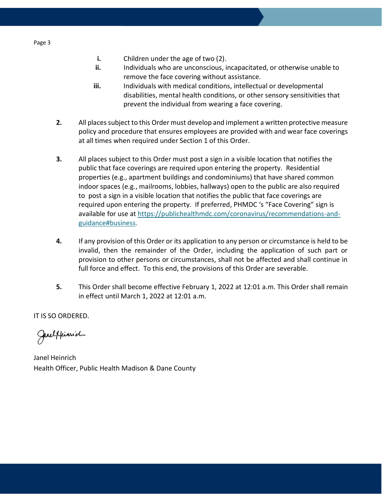- **i.** Children under the age of two (2).
- **ii.** Individuals who are unconscious, incapacitated, or otherwise unable to remove the face covering without assistance.
- **iii.** Individuals with medical conditions, intellectual or developmental disabilities, mental health conditions, or other sensory sensitivities that prevent the individual from wearing a face covering.
- **2.** All places subject to this Order must develop and implement a written protective measure policy and procedure that ensures employees are provided with and wear face coverings at all times when required under Section 1 of this Order.
- **3.** All places subject to this Order must post a sign in a visible location that notifies the public that face coverings are required upon entering the property. Residential properties (e.g., apartment buildings and condominiums) that have shared common indoor spaces (e.g., mailrooms, lobbies, hallways) open to the public are also required to post a sign in a visible location that notifies the public that face coverings are required upon entering the property. If preferred, PHMDC 's "Face Covering" sign is available for use at [https://publichealthmdc.com/coronavirus/recommendations-and](https://publichealthmdc.com/coronavirus/recommendations-and-guidance#business)[guidance#business.](https://publichealthmdc.com/coronavirus/recommendations-and-guidance#business)
- **4.** If any provision of this Order or its application to any person or circumstance is held to be invalid, then the remainder of the Order, including the application of such part or provision to other persons or circumstances, shall not be affected and shall continue in full force and effect. To this end, the provisions of this Order are severable.
- **5.** This Order shall become effective February 1, 2022 at 12:01 a.m. This Order shall remain in effect until March 1, 2022 at 12:01 a.m.

IT IS SO ORDERED.

Jarelffinnid

Janel Heinrich Health Officer, Public Health Madison & Dane County

Page 3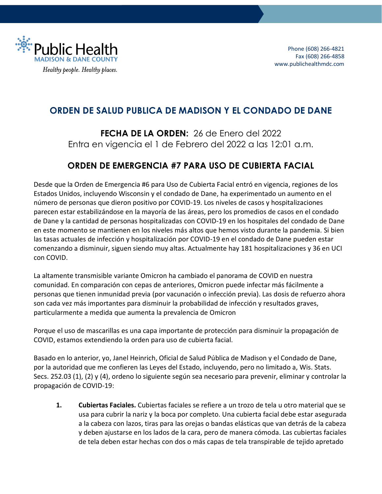

# **ORDEN DE SALUD PUBLICA DE MADISON Y EL CONDADO DE DANE**

**FECHA DE LA ORDEN:** 26 de Enero del 2022 Entra en vigencia el 1 de Febrero del 2022 a las 12:01 a.m.

### **ORDEN DE EMERGENCIA #7 PARA USO DE CUBIERTA FACIAL**

Desde que la Orden de Emergencia #6 para Uso de Cubierta Facial entró en vigencia, regiones de los Estados Unidos, incluyendo Wisconsin y el condado de Dane, ha experimentado un aumento en el número de personas que dieron positivo por COVID-19. Los niveles de casos y hospitalizaciones parecen estar estabilizándose en la mayoría de las áreas, pero los promedios de casos en el condado de Dane y la cantidad de personas hospitalizadas con COVID-19 en los hospitales del condado de Dane en este momento se mantienen en los niveles más altos que hemos visto durante la pandemia. Si bien las tasas actuales de infección y hospitalización por COVID-19 en el condado de Dane pueden estar comenzando a disminuir, siguen siendo muy altas. Actualmente hay 181 hospitalizaciones y 36 en UCI con COVID.

La altamente transmisible variante Omicron ha cambiado el panorama de COVID en nuestra comunidad. En comparación con cepas de anteriores, Omicron puede infectar más fácilmente a personas que tienen inmunidad previa (por vacunación o infección previa). Las dosis de refuerzo ahora son cada vez más importantes para disminuir la probabilidad de infección y resultados graves, particularmente a medida que aumenta la prevalencia de Omicron

Porque el uso de mascarillas es una capa importante de protección para disminuir la propagación de COVID, estamos extendiendo la orden para uso de cubierta facial.

Basado en lo anterior, yo, Janel Heinrich, Oficial de Salud Pública de Madison y el Condado de Dane, por la autoridad que me confieren las Leyes del Estado, incluyendo, pero no limitado a, Wis. Stats. Secs. 252.03 (1), (2) y (4), ordeno lo siguiente según sea necesario para prevenir, eliminar y controlar la propagación de COVID-19:

**1. Cubiertas Faciales.** Cubiertas faciales se refiere a un trozo de tela u otro material que se usa para cubrir la nariz y la boca por completo. Una cubierta facial debe estar asegurada a la cabeza con lazos, tiras para las orejas o bandas elásticas que van detrás de la cabeza y deben ajustarse en los lados de la cara, pero de manera cómoda. Las cubiertas faciales de tela deben estar hechas con dos o más capas de tela transpirable de tejido apretado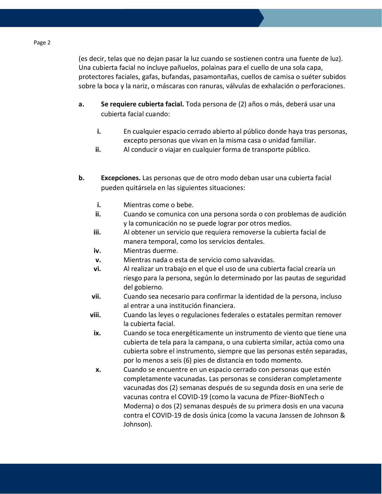(es decir, telas que no dejan pasar la luz cuando se sostienen contra una fuente de luz). Una cubierta facial no incluye pañuelos, polainas para el cuello de una sola capa, protectores faciales, gafas, bufandas, pasamontañas, cuellos de camisa o suéter subidos sobre la boca y la nariz, o máscaras con ranuras, válvulas de exhalación o perforaciones.

- **a. Se requiere cubierta facial.** Toda persona de (2) años o más, deberá usar una cubierta facial cuando:
	- **i.** En cualquier espacio cerrado abierto al público donde haya tras personas, excepto personas que vivan en la misma casa o unidad familiar.
	- **ii.** Al conducir o viajar en cualquier forma de transporte público.
- **b. Excepciones.** Las personas que de otro modo deban usar una cubierta facial pueden quitársela en las siguientes situaciones:
	- **i.** Mientras come o bebe.
	- **ii.** Cuando se comunica con una persona sorda o con problemas de audición y la comunicación no se puede lograr por otros medios.
	- **iii.** Al obtener un servicio que requiera removerse la cubierta facial de manera temporal, como los servicios dentales.
	- **iv.** Mientras duerme.
	- **v.** Mientras nada o esta de servicio como salvavidas.
	- **vi.** Al realizar un trabajo en el que el uso de una cubierta facial crearía un riesgo para la persona, según lo determinado por las pautas de seguridad del gobierno.
	- **vii.** Cuando sea necesario para confirmar la identidad de la persona, incluso al entrar a una institución financiera.
	- **viii.** Cuando las leyes o regulaciones federales o estatales permitan remover la cubierta facial.
	- **ix.** Cuando se toca energéticamente un instrumento de viento que tiene una cubierta de tela para la campana, o una cubierta similar, actúa como una cubierta sobre el instrumento, siempre que las personas estén separadas, por lo menos a seis (6) pies de distancia en todo momento.
	- **x.** Cuando se encuentre en un espacio cerrado con personas que estén completamente vacunadas. Las personas se consideran completamente vacunadas dos (2) semanas después de su segunda dosis en una serie de vacunas contra el COVID-19 (como la vacuna de Pfizer-BioNTech o Moderna) o dos (2) semanas después de su primera dosis en una vacuna contra el COVID-19 de dosis única (como la vacuna Janssen de Johnson & Johnson).